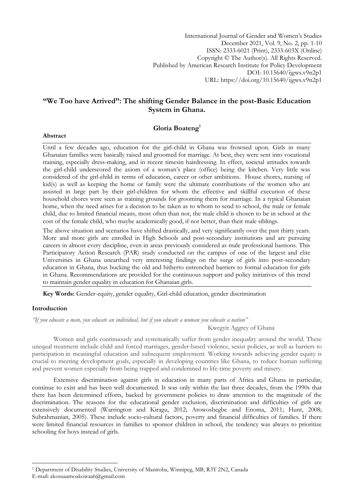International Journal of Gender and Women"s Studies December 2021, Vol. 9, No. 2, pp. 1-10 ISSN: 2333-6021 (Print), 2333-603X (Online) Copyright © The Author(s). All Rights Reserved. Published by American Research Institute for Policy Development DOI: 10.15640/ijgws.v9n2p1 URL: https://doi.org/10.15640/ijgws.v9n2p1

# **"We Too have Arrived": The shifting Gender Balance in the post-Basic Education System in Ghana.**

## **Gloria Boateng<sup>1</sup>**

Until a few decades ago, education for the girl-child in Ghana was frowned upon. Girls in many Ghanaian families were basically raised and groomed for marriage. At best, they were sent into vocational training, especially dress-making, and in recent timesin hairdressing. In effect, societal attitudes towards the girl-child underscored the axiom of a woman"s place (office) being the kitchen. Very little was considered of the girl-child in terms of education, career or other ambitions. House chores, nursing of kid(s) as well as keeping the home or family were the ultimate contributions of the women who are assisted in large part by their girl-children for whom the effective and skillful execution of these household chores were seen as training grounds for grooming them for marriage. In a typical Ghanaian home, when the need arises for a decision to be taken as to whom to send to school, the male or female child, due to limited financial means, most often than not, the male child is chosen to be in school at the cost of the female child, who maybe academically good, if not better, than their male siblings.

The above situation and scenarios have shifted drastically, and very significantly over the past thirty years. More and more girls are enrolled in High Schools and post-secondary institutions and are pursuing careers in almost every discipline, even in areas previously considered as male professional bastions. This Participatory Action Research (PAR) study conducted on the campus of one of the largest and elite Universities in Ghana unearthed very interesting findings on the surge of girls into post-secondary education in Ghana, thus bucking the old and hitherto entrenched barriers to formal education for girls in Ghana. Recommendations are provided for the continuous support and policy initiatives of this trend to maintain gender equality in education for Ghanaian girls.

**Key Words:** Gender-equity, gender equality, Girl-child education, gender discrimination

### **Introduction**

**.** 

*"If you educate a man, you educate an individual, but if you educate a woman you educate a nation"* Kwegyir Aggrey of Ghana

Women and girls continuously and systematically suffer from gender inequality around the world. These unequal treatment include child and forced marriages, gender-based violence, sexist policies, as well as barriers to participation in meaningful education and subsequent employment. Working towards achieving gender equity is crucial to meeting development goals, especially in developing countries like Ghana, to reduce human suffering and prevent women especially from being trapped and condemned to life-time poverty and misery.

Extensive discrimination against girls in education in many parts of Africa and Ghana in particular, continue to exist and has been well documented. It was only within the last three decades, from the 1990s that there has been determined efforts, backed by government policies to draw attention to the magnitude of the discrimination. The reasons for the educational gender exclusion, discrimination and difficulties of girls are extensively documented (Warrington and Kiragu, 2012; Arowoshegbe and Enoma, 2011; Hunt, 2008; Subrahmanian, 2005). These include socio-cultural factors, poverty and financial difficulties of families. If there were limited financial resources in families to sponsor children in school, the tendency was always to prioritize schooling for boys instead of girls.

### **Abstract**

<sup>1</sup> Department of Disability Studies, University of Manitoba, Winnipeg, MB, R3T 2N2, Canada E-mail: akosuaamoakowaa6@gmail.com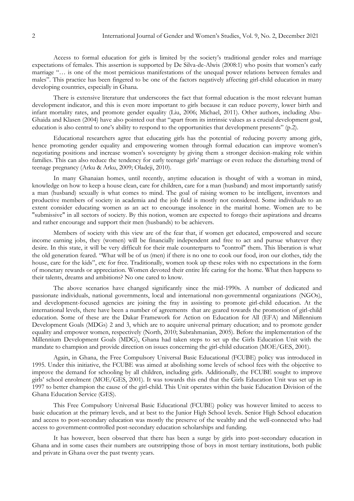Access to formal education for girls is limited by the society's traditional gender roles and marriage expectations of females. This assertion is supported by De Silva-de-Alwis (2008:1) who posits that women"s early marriage "… is one of the most pernicious manifestations of the unequal power relations between females and males". This practice has been fingered to be one of the factors negatively affecting girl-child education in many developing countries, especially in Ghana.

There is extensive literature that underscores the fact that formal education is the most relevant human development indicator, and this is even more important to girls because it can reduce poverty, lower birth and infant mortality rates, and promote gender equality (Liu, 2006; Michael, 2011). Other authors, including Abu-Ghaida and Klasen (2004) have also pointed out that "apart from its intrinsic values as a crucial development goal, education is also central to one"s ability to respond to the opportunities that development presents" (p.2).

Educational researchers agree that educating girls has the potential of reducing poverty among girls, hence promoting gender equality and empowering women through formal education can improve women"s negotiating positions and increase women"s sovereignty by giving them a stronger decision-making role within families. This can also reduce the tendency for early teenage girls' marriage or even reduce the disturbing trend of teenage pregnancy (Arku & Arku, 2009; Oladeji, 2010).

In many Ghanaian homes, until recently, anytime education is thought of with a woman in mind, knowledge on how to keep a house clean, care for children, care for a man (husband) and most importantly satisfy a man (husband) sexually is what comes to mind. The goal of raising women to be intelligent, inventors and productive members of society in academia and the job field is mostly not considered. Some individuals to an extent consider educating women as an act to encourage insolence in the marital home. Women are to be "submissive" in all sectors of society. By this notion, women are expected to forego their aspirations and dreams and rather encourage and support their men (husbands) to be achievers.

Members of society with this view are of the fear that, if women get educated, empowered and secure income earning jobs, they (women) will be financially independent and free to act and pursue whatever they desire. In this state, it will be very difficult for their male counterparts to "control" them. This liberation is what the old generation feared. "What will be of us (men) if there is no one to cook our food, iron our clothes, tidy the house, care for the kids", etc for free. Traditionally, women took up these roles with no expectations in the form of monetary rewards or appreciation. Women devoted their entire life caring for the home. What then happens to their talents, dreams and ambitions? No one cared to know.

The above scenarios have changed significantly since the mid-1990s. A number of dedicated and passionate individuals, national governments, local and international non-governmental organizations (NGOs), and development-focused agencies are joining the fray in assisting to promote girl-child education. At the international levels, there have been a number of agreements that are geared towards the promotion of girl-child education. Some of these are the Dakar Framework for Action on Education for All (EFA) and Millennium Development Goals (MDGs) 2 and 3, which are to acquire universal primary education; and to promote gender equality and empower women, respectively (North, 2010; Subrahmanian, 2005). Before the implementation of the Millennium Development Goals (MDG), Ghana had taken steps to set up the Girls Education Unit with the mandate to champion and provide direction on issues concerning the girl-child education (MOE/GES, 2001).

Again, in Ghana, the Free Compulsory Universal Basic Educational (FCUBE) policy was introduced in 1995. Under this initiative, the FCUBE was aimed at abolishing some levels of school fees with the objective to improve the demand for schooling by all children, including girls. Additionally, the FCUBE sought to improve girls" school enrolment (MOE/GES, 2001). It was towards this end that the Girls Education Unit was set up in 1997 to better champion the cause of the girl-child. This Unit operates within the basic Education Division of the Ghana Education Service (GES).

This Free Compulsory Universal Basic Educational (FCUBE) policy was however limited to access to basic education at the primary levels, and at best to the Junior High School levels. Senior High School education and access to post-secondary education was mostly the preserve of the wealthy and the well-connected who had access to government-controlled post-secondary education scholarships and funding.

It has however, been observed that there has been a surge by girls into post-secondary education in Ghana and in some cases their numbers are outstripping those of boys in most tertiary institutions, both public and private in Ghana over the past twenty years.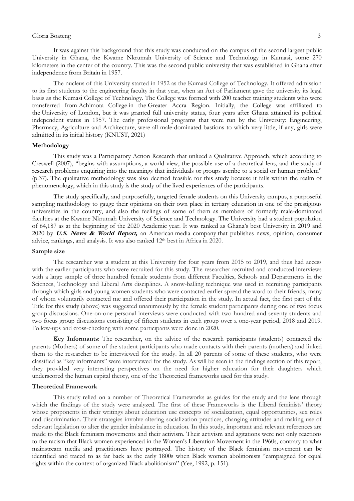The nucleus of this University started in 1952 as the Kumasi College of Technology. It offered admission to its first students to the engineering faculty in that year, when an Act of Parliament gave the university its legal basis as the [Kumasi College of Technology.](https://en.wikipedia.org/wiki/Kumasi_College_of_Technology) The College was formed with 200 teacher training students who were transferred from [Achimota College](https://en.wikipedia.org/wiki/Achimota_School) in the [Greater Accra Region.](https://en.wikipedia.org/wiki/Greater_Accra_Region) Initially, the College was affiliated to the [University of London,](https://en.wikipedia.org/wiki/University_of_London) but it was granted full university status, four years after Ghana attained its political independent status in 1957. The early professional programs that were run by the University: Engineering, Pharmacy, Agriculture and Architecture, were all male-dominated bastions to which very little, if any, girls were admitted in its initial history (KNUST, 2021)

### **Methodology**

This study was a Participatory Action Research that utilized a Qualitative Approach, which according to Creswell (2007), "begins with assumptions, a world view, the possible use of a theoretical lens, and the study of research problems enquiring into the meanings that individuals or groups ascribe to a social or human problem" (p.37). The qualitative methodology was also deemed feasible for this study because it falls within the realm of phenomenology, which in this study is the study of the lived experiences of the participants.

The study specifically, and purposefully, targeted female students on this University campus, a purposeful sampling methodology to gauge their opinions on their own place in tertiary education in one of the prestigious universities in the country, and also the feelings of some of them as members of formerly male-dominated faculties at the Kwame Nkrumah University of Science and Technology. The University had a student population of 64,187 as at the beginning of the 2020 Academic year. It was ranked as Ghana"s best University in 2019 and 2020 by **U.S. News & World Report,** an American [media company](https://en.wikipedia.org/wiki/Media_company) that publishes news, opinion, consumer advice, rankings, and analysis. It was also ranked 12<sup>th</sup> best in Africa in 2020.

### **Sample size**

The researcher was a student at this University for four years from 2015 to 2019, and thus had access with the earlier participants who were recruited for this study. The researcher recruited and conducted interviews with a large sample of three hundred female students from different Faculties, Schools and Departments in the Sciences, Technology and Liberal Arts disciplines. A snow-balling technique was used in recruiting participants through which girls and young women students who were contacted earlier spread the word to their friends, many of whom voluntarily contacted me and offered their participation in the study. In actual fact, the first part of the Title for this study (above) was suggested unanimously by the female student participants during one of two focus group discussions. One-on-one personal interviews were conducted with two hundred and seventy students and two focus group discussions consisting of fifteen students in each group over a one-year period, 2018 and 2019. Follow-ups and cross-checking with some participants were done in 2020.

**Key Informants**: The researcher, on the advice of the research participants (students) contacted the parents (Mothers) of some of the student participants who made contacts with their parents (mothers) and linked them to the researcher to be interviewed for the study. In all 20 parents of some of these students, who were classified as "key informants" were interviewed for the study. As will be seen in the findings section of this report, they provided very interesting perspectives on the need for higher education for their daughters which underscored the human capital theory, one of the Theoretical frameworks used for this study.

### **Theoretical Framework**

This study relied on a number of Theoretical Frameworks as guides for the study and the lens through which the findings of the study were analyzed. The first of these Frameworks is the Liberal feminists' theory whose proponents in their writings about education use concepts of socialization, equal opportunities, sex roles and discrimination. Their strategies involve altering socialization practices, changing attitudes and making use of relevant legislation to alter the gender imbalance in education. In this study, important and relevant references are made to the Black feminism movements and their activism. Their activism and agitations were not only reactions to the racism that Black women experienced in the Women"s Liberation Movement in the 1960s, contrary to what mainstream media and practitioners have portrayed. The history of the Black feminism movement can be identified and traced to as far back as the early 1800s when Black women abolitionists "campaigned for equal rights within the context of organized Black abolitionism" (Yee, 1992, p. 151).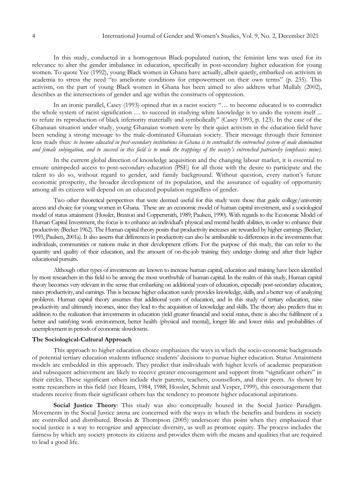In this study, conducted in a homogenous Black-populated nation, the feminist lens was used for its relevance to alter the gender imbalance in education, specifically in post-secondary higher education for young women. To quote Yee (1992), young Black women in Ghana have actually, albeit quietly, embarked on activism in academia to stress the need "to ameliorate conditions for empowerment on their own terms" (p. 235). This activism, on the part of young Black women in Ghana has been aimed to also address what Mullaly (2002), describes as the intersections of gender and age within the constructs of oppression.

In an ironic parallel, Casey (1993) opined that in a racist society "… to become educated is to contradict the whole system of racist signification … to succeed in studying white knowledge is to undo the system itself ... to refute its reproduction of black inferiority materially and symbolically" (Casey 1993, p. 123). In the case of the Ghanaian situation under study, young Ghanaian women were by their quiet activism in the education field have been sending a strong message to the male-dominated Ghanaian society. Their message through their feminist lens reads thus: *to become educated in post-secondary institutions in Ghana is to contradict the entrenched system of male domination and female subjugation, and to succeed in this field is to undo the trappings of the society's entrenched patriarchy (emphasis mine).*

In the current global direction of knowledge acquisition and the changing labour market, it is essential to ensure unimpeded access to post-secondary-education (PSE) for all those with the desire to participate and the talent to do so, without regard to gender, and family background. Without question, every nation's future economic prosperity, the broader development of its population, and the assurance of equality of opportunity among all its citizens will depend on an educated population regardless of gender.

Two other theoretical perspectives that were deemed useful for this study were those that guide college/university access and choice for young women in Ghana. These are an economic model of human capital investment, and a sociological model of status attainment (Hossler, Braxton and Coppersmith, 1989; Paulsen, 1990). With regards to the Economic Model of Human Capital Investment, the focus is to enhance an individual's physical and mental health abilities, in order to enhance their productivity (Becker 1962). The Human capital theory posits that productivity increases are rewarded by higher earnings (Becker, 1993, Paulsen, 2001a). It also asserts that differences in productivity can also be attributable to differences in the investments that individuals, communities or nations make in their development efforts. For the purpose of this study, this can refer to the quantity and quality of their education, and the amount of on-the-job training they undergo during and after their higher educational pursuits.

Although other types of investments are known to increase human capital, education and training have been identified by most researchers in this field to be among the most worthwhile of human capital. In the realm of this study, Human capital theory becomes very relevant in the sense that embarking on additional years of education, especially post-secondary education, raises productivity, and earnings. This is because higher education surely provides knowledge, skills, and a better way of analyzing problems. Human capital theory assumes that additional years of education, and in this study of tertiary education, raise productivity and ultimately incomes, since they lead to the acquisition of knowledge and skills. The theory also predicts that in addition to the realization that investments in education yield greater financial and social status, there is also the fulfilment of a better and satisfying work environment, better health (physical and mental), longer life and lower risks and probabilities of unemployment in periods of economic slowdowns.

#### **The Sociological-Cultural Approach**

This approach to higher education choice emphasizes the ways in which the socio-economic backgrounds of potential tertiary education students influence students" decisions to pursue higher education. Status Attainment models are embedded in this approach. They predict that individuals with higher levels of academic preparation and subsequent achievement are likely to receive greater encouragement and support from "significant others" in their circles. These significant others include their parents, teachers, counsellors, and their peers. As shown by some researchers in this field (see Hearn, 1984, 1988; Hossler, Schmit and Vesper, 1999), this encouragement that students receive from their significant others has the tendency to promote higher educational aspirations.

**Social Justice Theory**: This study was also conceptually housed in the Social Justice Paradigm. Movements in the Social Justice arena are concerned with the ways in which the benefits and burdens in society are controlled and distributed. Brooks & Thompson (2005) underscore this point when they emphasized that social justice is a way to recognize and appreciate diversity, as well as promote equity. The process includes the fairness by which any society protects its citizens and provides them with the means and qualities that are required to lead a good life.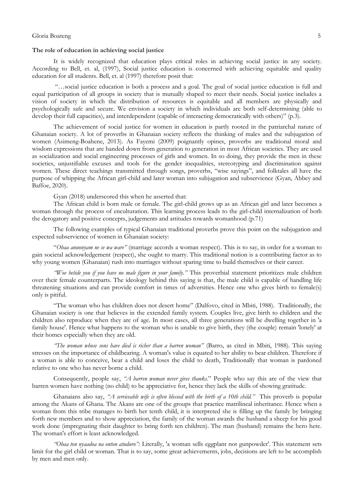### **The role of education in achieving social justice**

It is widely recognized that education plays critical roles in achieving social justice in any society. According to Bell, et. al, (1997), Social justice education is concerned with achieving equitable and quality education for all students. Bell, et. al (1997) therefore posit that:

"…social justice education is both a process and a goal. The goal of social justice education is full and equal participation of all groups in society that is mutually shaped to meet their needs. Social justice includes a vision of society in which the distribution of resources is equitable and all members are physically and psychologically safe and secure. We envision a society in which individuals are both self-determining (able to develop their full capacities), and interdependent (capable of interacting democratically with others)" (p.3)*.*

The achievement of social justice for women in education is partly rooted in the patriarchal nature of Ghanaian society. A lot of proverbs in Ghanaian society reflects the thinking of males and the subjugation of women (Asimeng-Boahene, 2013). As Fayemi (2009) poignantly opines, proverbs are traditional moral and wisdom expressions that are handed down from generation to generation in most African societies. They are used as socialization and social engineering processes of girls and women. In so doing, they provide the men in these societies, unjustifiable excuses and tools for the gender inequalities, stereotyping and discrimination against women. These direct teachings transmitted through songs, proverbs, "wise sayings", and folktales all have the purpose of whipping the African girl-child and later woman into subjugation and subservience (Gyan, Abbey and Baffoe, 2020).

Gyan (2018) underscored this when he asserted that:

The African child is born male or female. The girl-child grows up as an African girl and later becomes a woman through the process of enculturation. This learning process leads to the girl-child internalization of both the derogatory and positive concepts, judgements and attitudes towards womanhood (p.71)

The following examples of typical Ghanaian traditional proverbs prove this point on the subjugation and expected subservience of women in Ghanaian society:

"*Obaa anuonyam ne se wa ware"* (marriage accords a woman respect). This is to say, in order for a woman to gain societal acknowledgement (respect), she ought to marry. This traditional notion is a contributing factor as to why young women (Ghanaian) rush into marriages without sparing time to build themselves or their career.

*"Woe betide you if you have no male figure in your family."* This proverbial statement prioritizes male children over their female counterparts. The ideology behind this saying is that, the male child is capable of handling life threatening situations and can provide comfort in times of adversities. Hence one who gives birth to female(s) only is pitiful.

"The woman who has children does not desert home" (Dalfovo, cited in Mbiti, 1988). Traditionally, the Ghanaian society is one that believes in the extended family system. Couples live, give birth to children and the children also reproduce when they are of age. In most cases, all three generations will be dwelling together in 'a family house'. Hence what happens to the woman who is unable to give birth, they (the couple) remain 'lonely' at their homes especially when they are old.

*"The woman whose sons have died is richer than a barren woman"* (Barro, as cited in Mbiti, 1988). This saying stresses on the importance of childbearing. A woman's value is equated to her ability to bear children. Therefore if a woman is able to conceive, bear a child and loses the child to death, Traditionally that woman is pardoned relative to one who has never borne a child.

Consequently, people say, *"A barren woman never gives thanks.*" People who say this are of the view that barren women have nothing (no child) to be appreciative for, hence they lack the skills of showing gratitude.

Ghanaians also say, *"A serviceable wife is often blessed with the birth of a 10th child."* This proverb is popular among the Akans of Ghana. The Akans are one of the groups that practice matrilineal inheritance. Hence when a woman from this tribe manages to birth her tenth child, it is interpreted she is filling up the family by bringing forth new members and to show appreciation, the family of the woman awards the husband a sheep for his good work done (impregnating their daughter to bring forth ten children). The man (husband) remains the hero here. The woman's effort is least acknowledged.

*"Obaa ton nyaadoa na onton atuduro":* Literally, 'a woman sells eggplant not gunpowder'. This statement sets limit for the girl child or woman. That is to say, some great achievements, jobs, decisions are left to be accomplish by men and men only.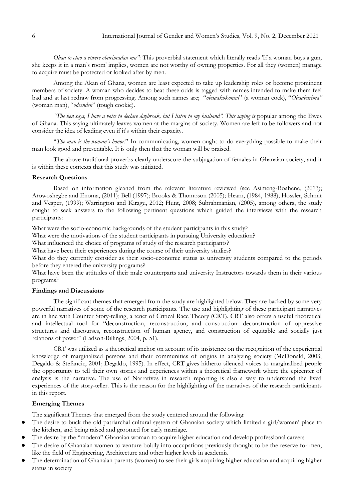*Obaa to etuo a etwere obarimadan mu"*: This proverbial statement which literally reads 'If a woman buys a gun, she keeps it in a man's room' implies, women are not worthy of owning properties. For all they (women) manage to acquire must be protected or looked after by men.

Among the Akan of Ghana, women are least expected to take up leadership roles or become prominent members of society. A woman who decides to beat these odds is tagged with names intended to make them feel bad and at last redraw from progressing. Among such names are; "*obaaakokonini*" (a woman cock), "*Obaabarima"* (woman man), "*odeenden*" (tough cookie).

*"The hen says, I have a voice to declare daybreak, but I listen to my husband". This saying is popular among the Ewes* of Ghana. This saying ultimately leaves women at the margins of society. Women are left to be followers and not consider the idea of leading even if it's within their capacity.

"*The man is the woman's honor*." In communicating, women ought to do everything possible to make their man look good and presentable. It is only then that the woman will be praised.

The above traditional proverbs clearly underscore the subjugation of females in Ghanaian society, and it is within these contexts that this study was initiated.

### **Research Questions**

Based on information gleaned from the relevant literature reviewed (see Asimeng-Boahene, (2013); Arowoshegbe and Enoma, (2011); Bell (1997); Brooks & Thompson (2005); Hearn, (1984, 1988); Hossler, Schmit and Vesper, (1999); Warrington and Kiragu, 2012; Hunt, 2008; Subrahmanian, (2005), among others, the study sought to seek answers to the following pertinent questions which guided the interviews with the research participants:

What were the socio-economic backgrounds of the student participants in this study?

What were the motivations of the student participants in pursuing University education?

What influenced the choice of programs of study of the research participants?

What have been their experiences during the course of their university studies?

What do they currently consider as their socio-economic status as university students compared to the periods before they entered the university programs?

What have been the attitudes of their male counterparts and university Instructors towards them in their various programs?

### **Findings and Discussions**

The significant themes that emerged from the study are highlighted below. They are backed by some very powerful narratives of some of the research participants. The use and highlighting of these participant narratives are in line with Counter Story-telling, a tenet of Critical Race Theory (CRT). CRT also offers a useful theoretical and intellectual tool for "deconstruction, reconstruction, and construction: deconstruction of oppressive structures and discourses, reconstruction of human agency, and construction of equitable and socially just relations of power" (Ladson-Billings, 2004, p. 51).

CRT was utilized as a theoretical anchor on account of its insistence on the recognition of the experiential knowledge of marginalized persons and their communities of origins in analyzing society (McDonald, 2003; Degaldo & Stefancic, 2001; Degaldo, 1995). In effect, CRT gives hitherto silenced voices to marginalized people the opportunity to tell their own stories and experiences within a theoretical framework where the epicenter of analysis is the narrative. The use of Narratives in research reporting is also a way to understand the lived experiences of the story-teller. This is the reason for the highlighting of the narratives of the research participants in this report.

### **Emerging Themes**

The significant Themes that emerged from the study centered around the following:

- The desire to buck the old patriarchal cultural system of Ghanaian society which limited a girl/woman' place to the kitchen, and being raised and groomed for early marriage.
- The desire by the "modern" Ghanaian woman to acquire higher education and develop professional careers
- The desire of Ghanaian women to venture boldly into occupations previously thought to be the reserve for men, like the field of Engineering, Architecture and other higher levels in academia
- The determination of Ghanaian parents (women) to see their girls acquiring higher education and acquiring higher status in society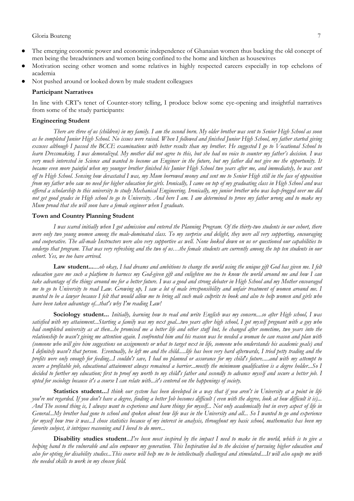- The emerging economic power and economic independence of Ghanaian women thus bucking the old concept of men being the breadwinners and women being confined to the home and kitchen as housewives
- Motivation seeing other women and some relatives in highly respected careers especially in top echelons of academia
- Not pushed around or looked down by male student colleagues

#### **Participant Narratives**

In line with CRT"s tenet of Counter-story telling, I produce below some eye-opening and insightful narratives from some of the study participants:

### **Engineering Student**

*There are three of us (children) in my family. I am the second born. My older brother was sent to Senior High School as soon*  as he completed Junior High School. No issues were raised. When I followed and finished Junior High School, my father started giving *excuses although I passed the BCCE examinations with better results than my brother. He suggested I go to Vocational School to learn Dressmaking. I was demoralized. My mother did not agree to this, but she had no voice to counter my father's decision. I was very much interested in Science and wanted to become an Engineer in the future, but my father did not give me the opportunity. It became even more painful when my younger brother finished his Junior High School two years after me, and immediately, he was sent off to High School. Sensing how devastated I was, my Mum borrowed money and sent me to Senior High still in the face of opposition from my father who saw no need for higher education for girls. Ironically, I came on top of my graduating class in High School and was offered a scholarship to this university to study Mechanical Engineering. Ironically, my junior brother who was leap-frogged over me did not get good grades in High school to go to University. And here I am. I am determined to prove my father wrong and to make my Mum proud that she will soon have a female engineer when I graduate.*

### **Town and Country Planning Student**

*I was scared initially when I got admission and entered the Planning Program. Of the thirty-two students in our cohort, there were only two young women among the male-dominated class. To my surprise and delight, they were all very supporting, encouraging and cooperative. The all-male Instructors were also very supportive as well. None looked down on us or questioned our capabilities to undergo that program. That was very refreshing and the two of us…the female students are currently among the top ten students in our cohort. Yes, we too have arrived.*

**Law student...***....oh okay, I had dreams and ambitions to change the world using the unique gift God has given me. I felt education gave me such a platform to harness my God-given gift and enlighten me too to know the world around me and how I can take advantage of the things around me for a better future. I was a good and strong debater in High School and my Mother encouraged me to go to University to read Law. Growing up, I saw a lot of male irresponsibility and unfair treatment of women around me. I wanted to be a lawyer because I felt that would allow me to bring all such male culprits to book and also to help women and girls who have been taken advantage of...that's why I'm reading Law!*

**Sociology student...** *Initially, learning how to read and write English was my concern....so after High school, I was satisfied with my attainment...Starting a family was my next goal...two years after high school, I got myself pregnant with a guy who had completed university as at then...he promised me a better life and other stuff but, he changed after sometime, two years into the relationship he wasn't giving me attention again. I confronted him and his reason was he needed a woman he can reason and plan with (someone who will give him suggestions on assignments or what to target next in life, someone who understands his academic goals) and I definitely wasn't that person. Eventually, he left me and the child.....life has been very hard afterwards, I tried petty trading and the profits were only enough for feeding...I couldn't save, I had no planned or assurance for my child's future.....and with my attempt to secure a profitable job, educational attainment always remained a barrier...mostly the minimum qualification is a degree holder...So I decided to further my education; first to proof my worth to my child's father and secondly to advance myself and secure a better job. I opted for sociology because it's a course I can relate with...it's centered on the happenings of society.* 

**Statistics student...***I think our system has been developed in a way that if you aren't in University at a point in life you're not regarded. If you don't have a degree, finding a better Job becomes difficult ( even with the degree, look at how difficult it is)... And The second thing is, I always want to experience and learn things for myself... Not only academically but in every aspect of life in General...My brother had gone to school and spoken about how life was in the University and all... So I wanted to go and experience for myself how true it was...I chose statistics because of my interest in analysis, throughout my basic school, mathematics has been my favorite subject, it intrigues reasoning and I loved to do more...*

**Disability studies student**...*I've been most inspired by the impact I need to make in the world, which is to give a helping hand to the vulnerable and also empower my generation. This Inspiration led to the decision of pursuing higher education and also for opting for disability studies...This course will help me to be intellectually challenged and stimulated....It will also equip me with the needed skills to work in my chosen field.*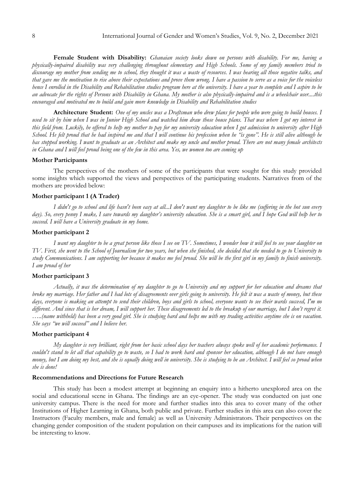**Female Student with Disability:** *Ghanaian society looks down on persons with disability. For me, having a physically-impaired disability was very challenging throughout elementary and High Schools. Some of my family members tried to discourage my mother from sending me to school, they thought it was a waste of resources. I was hearing all those negative talks, and that gave me the motivation to rise above their expectations and prove them wrong. I have a passion to serve as a voice for the voiceless hence I enrolled in the Disability and Rehabilitation studies program here at the university. I have a year to complete and I aspire to be an advocate for the rights of Persons with Disability in Ghana. My mother is also physically-impaired and is a wheelchair user....this encouraged and motivated me to build and gain more knowledge in Disability and Rehabilitation studies*

**Architecture Student:** *One of my uncles was a Draftsman who drew plans for people who were going to build houses. I used to sit by him when I was in Junior High School and watched him draw those house plans. That was where I got my interest in this field from. Luckily, he offered to help my mother to pay for my university education when I got admission to university after High School. He felt proud that he had inspired me and that I will continue his profession when he "is gone". He is still alive although he has stopped working. I want to graduate as an Architect and make my uncle and mother proud. There are not many female architects in Ghana and I will feel proud being one of the few in this area. Yes, we women too are coming up*

### **Mother Participants**

The perspectives of the mothers of some of the participants that were sought for this study provided some insights which supported the views and perspectives of the participating students. Narratives from of the mothers are provided below:

#### **Mother participant 1 (A Trader)**

*I didn't go to school and life hasn't been easy at all...I don't want my daughter to be like me (suffering in the hot sun every day). So, every penny I make, I save towards my daughter's university education. She is a smart girl, and I hope God will help her to succeed. I will have a University graduate in my home.*

### **Mother participant 2**

*I want my daughter to be a great person like those I see on TV. Sometimes, I wonder how it will feel to see your daughter on TV. First, she went to the School of Journalism for two years, but when she finished, she decided that she needed to go to University to study Communications. I am supporting her because it makes me feel proud. She will be the first girl in my family to finish university. I am proud of her*

### **Mother participant 3**

*Actually, it was the determination of my daughter to go to University and my support for her education and dreams that broke my marriage. Her father and I had lots of disagreements over girls going to university. He felt it was a waste of money, but these days, everyone is making an attempt to send their children, boys and girls to school, everyone wants to see their wards succeed, I'm no different. And since that is her dream, I will support her. These disagreements led to the breakup of our marriage, but I don't regret it.* ....(name withheld) has been a very good girl. She is studying hard and helps me with my trading activities anytime she is on vacation. *She says "we will succeed" and I believe her.* 

### **Mother participant 4**

*My daughter is very brilliant, right from her basic school days her teachers always spoke well of her academic performance. I couldn't stand to let all that capability go to waste, so I had to work hard and sponsor her education, although I do not have enough money, but I am doing my best, and she is equally doing well in university. She is studying to be an Architect. I will feel so proud when she is done!* 

#### **Recommendations and Directions for Future Research**

This study has been a modest attempt at beginning an enquiry into a hitherto unexplored area on the social and educational scene in Ghana. The findings are an eye-opener. The study was conducted on just one university campus. There is the need for more and further studies into this area to cover many of the other Institutions of Higher Learning in Ghana, both public and private. Further studies in this area can also cover the Instructors (Faculty members, male and female) as well as University Administrators. Their perspectives on the changing gender composition of the student population on their campuses and its implications for the nation will be interesting to know.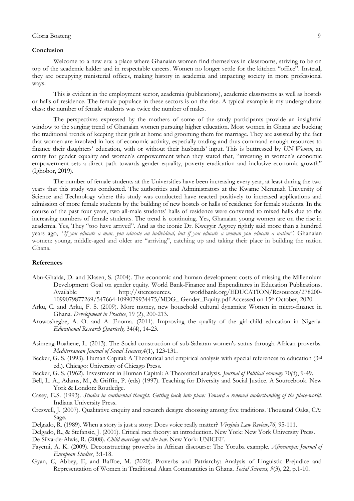### **Conclusion**

Welcome to a new era: a place where Ghanaian women find themselves in classrooms, striving to be on top of the academic ladder and in respectable careers. Women no longer settle for the kitchen "office". Instead, they are occupying ministerial offices, making history in academia and impacting society in more professional ways.

This is evident in the employment sector, academia (publications), academic classrooms as well as hostels or halls of residence. The female populace in these sectors is on the rise. A typical example is my undergraduate class: the number of female students was twice the number of males.

The perspectives expressed by the mothers of some of the study participants provide an insightful window to the surging trend of Ghanaian women pursuing higher education. Most women in Ghana are bucking the traditional trends of keeping their girls at home and grooming them for marriage. They are assisted by the fact that women are involved in lots of economic activity, especially trading and thus command enough resources to finance their daughters" education, with or without their husbands" input. This is buttressed by *UN Women*, an entity for gender equality and women's empowerment when they stated that, "investing in women's economic empowerment sets a direct path towards gender equality, poverty eradication and inclusive economic growth" (Ighobor, 2019).

The number of female students at the Universities have been increasing every year, at least during the two years that this study was conducted. The authorities and Administrators at the Kwame Nkrumah University of Science and Technology where this study was conducted have reacted positively to increased applications and admission of more female students by the building of new hostels or halls of residence for female students. In the course of the past four years, two all-male students" halls of residence were converted to mixed halls due to the increasing numbers of female students. The trend is continuing. Yes, Ghanaian young women are on the rise in academia. Yes, They "too have arrived". And as the iconic Dr. Kwegyir Aggrey rightly said more than a hundred years ago, *"If you educate a man, you educate an individual, but if you educate a woman you educate a nation".* Ghanaian women: young, middle-aged and older are "arriving", catching up and taking their place in building the nation Ghana.

### **References**

- Abu-Ghaida, D. and Klasen, S. (2004). The economic and human development costs of missing the Millennium Development Goal on gender equity. World Bank-Finance and Expenditures in Education Publications. Available at http://siteresources. worldbank.org/EDUCATION/Resources/278200- 1099079877269/547664-1099079934475/MDG\_ Gender\_Equity.pdf Accessed on 15th October, 2020.
- Arku, C. and Arku, F. S. (2009). More money, new household cultural dynamics: Women in micro-finance in Ghana. *Development in Practice*, 19 (2), 200-213.
- Arowoshegbe, A. O. and A. Enoma. (2011). Improving the quality of the girl-child education in Nigeria. *Educational Research Quarterly,* 34(4), 14-23.
- Asimeng-Boahene, L. (2013). The Social construction of sub-Saharan women"s status through African proverbs. *Mediterranean Journal of Social Sciences,4*(1), 123-131.
- Becker, G. S. (1993). Human Capital: A Theoretical and empirical analysis with special references to education (3rd ed.). Chicago: University of Chicago Press.
- Becker, G. S. (1962). Investment in Human Capital: A Theoretical analysis. *Journal of Political economy* 70*(5*), 9-49.
- Bell, L. A., Adams, M., & Griffin, P. (eds) (1997). Teaching for Diversity and Social Justice. A Sourcebook. New York & London: Routledge.
- Casey, E.S. (1993). *Studies in continental thought. Getting back into place: Toward a renewed understanding of the place-world*. Indiana University Press.
- Creswell, J. (2007). Qualitative enquiry and research design: choosing among five traditions. Thousand Oaks, CA: Sage.
- Delgado, R. (1989). When a story is just a story: Does voice really matter? *Virginia Law Review,76,* 95-111.
- Delgado, R., & Stefansic, J. (2001). Critical race theory: an introduction. New York: New York University Press.

De Silva-de-Alwis, R. (2008). *Child marriage and the law*. New York: UNICEF.

- Fayemi, A. K. (2009). Deconstructing proverbs in African discourse: The Yoruba example. *Afroeuropa: Journal of European Studies*, 3:1-18.
- Gyan, C, Abbey, E, and Baffoe, M. (2020). Proverbs and Patriarchy: Analysis of Linguistic Prejudice and Representation of Women in Traditional Akan Communities in Ghana. *Social Sciences, 9*(3), 22, p.1-10.